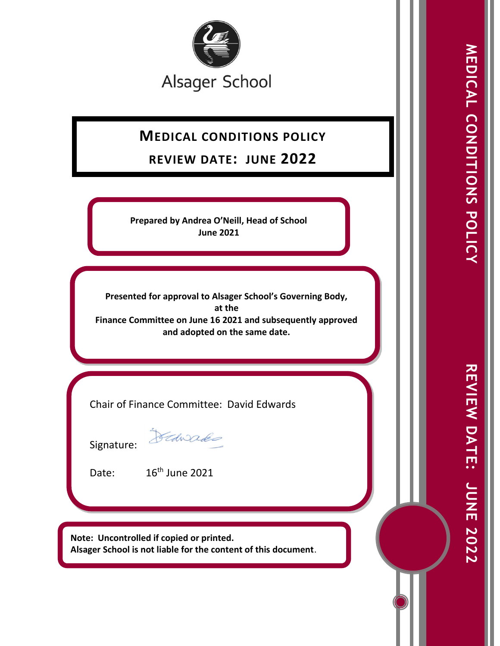

# **MEDICAL CONDITIONS POLICY**

## **REVIEW DATE: JUNE 2022**

**Prepared by Andrea O'Neill, Head of School June 2021**

**Presented for approval to Alsager School's Governing Body, at the Finance Committee on June 16 2021 and subsequently approved and adopted on the same date.**

Chair of Finance Committee: David Edwards

Signature:

Dedwades

Date: 16<sup>th</sup> June 2021

**Note: Uncontrolled if copied or printed. Alsager School is not liable for the content of this document**.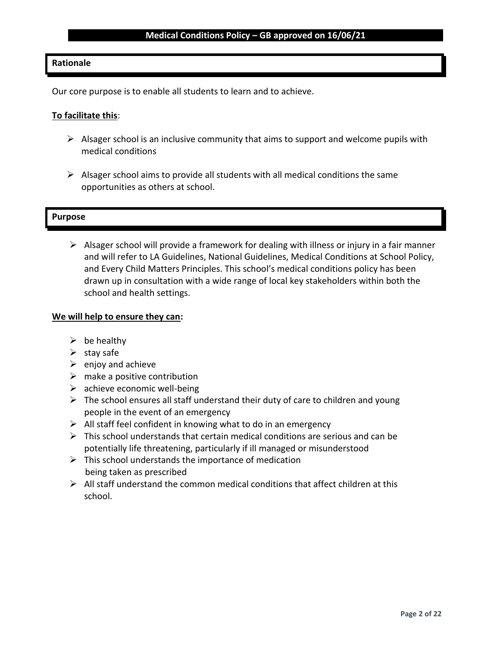### **Rationale**

Our core purpose is to enable all students to learn and to achieve.

#### **To facilitate this**:

- $\triangleright$  Alsager school is an inclusive community that aims to support and welcome pupils with medical conditions
- $\triangleright$  Alsager school aims to provide all students with all medical conditions the same opportunities as others at school.

#### **Purpose**

 $\triangleright$  Alsager school will provide a framework for dealing with illness or injury in a fair manner and will refer to LA Guidelines, National Guidelines, Medical Conditions at School Policy, and Every Child Matters Principles. This school's medical conditions policy has been drawn up in consultation with a wide range of local key stakeholders within both the school and health settings.

#### **We will help to ensure they can:**

- $\triangleright$  be healthy
- $\triangleright$  stay safe
- $\triangleright$  enjoy and achieve
- $\triangleright$  make a positive contribution
- $\triangleright$  achieve economic well-being
- $\triangleright$  The school ensures all staff understand their duty of care to children and young people in the event of an emergency
- $\triangleright$  All staff feel confident in knowing what to do in an emergency
- $\triangleright$  This school understands that certain medical conditions are serious and can be potentially life threatening, particularly if ill managed or misunderstood
- $\triangleright$  This school understands the importance of medication being taken as prescribed
- $\triangleright$  All staff understand the common medical conditions that affect children at this school.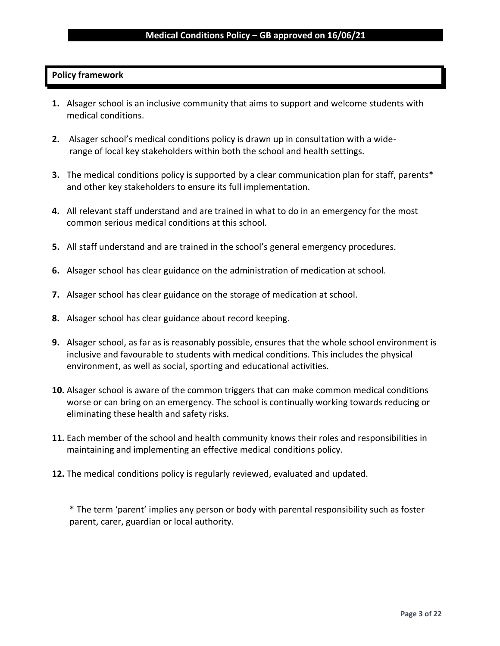#### **Policy framework**

- **1.** Alsager school is an inclusive community that aims to support and welcome students with medical conditions.
- **2.** Alsager school's medical conditions policy is drawn up in consultation with a widerange of local key stakeholders within both the school and health settings.
- **3.** The medical conditions policy is supported by a clear communication plan for staff, parents\* and other key stakeholders to ensure its full implementation.
- **4.** All relevant staff understand and are trained in what to do in an emergency for the most common serious medical conditions at this school.
- **5.** All staff understand and are trained in the school's general emergency procedures.
- **6.** Alsager school has clear guidance on the administration of medication at school.
- **7.** Alsager school has clear guidance on the storage of medication at school.
- **8.** Alsager school has clear guidance about record keeping.
- **9.** Alsager school, as far as is reasonably possible, ensures that the whole school environment is inclusive and favourable to students with medical conditions. This includes the physical environment, as well as social, sporting and educational activities.
- **10.** Alsager school is aware of the common triggers that can make common medical conditions worse or can bring on an emergency. The school is continually working towards reducing or eliminating these health and safety risks.
- **11.** Each member of the school and health community knows their roles and responsibilities in maintaining and implementing an effective medical conditions policy.
- **12.** The medical conditions policy is regularly reviewed, evaluated and updated.

\* The term 'parent' implies any person or body with parental responsibility such as foster parent, carer, guardian or local authority.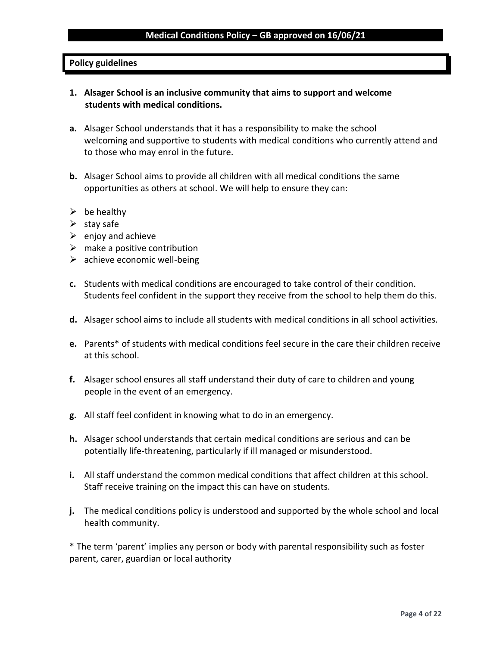## **Policy guidelines**

- **1. Alsager School is an inclusive community that aims to support and welcome students with medical conditions.**
- **a.** Alsager School understands that it has a responsibility to make the school welcoming and supportive to students with medical conditions who currently attend and to those who may enrol in the future.
- **b.** Alsager School aims to provide all children with all medical conditions the same opportunities as others at school. We will help to ensure they can:
- $\triangleright$  be healthy
- $\triangleright$  stay safe
- $\triangleright$  enjoy and achieve
- $\triangleright$  make a positive contribution
- $\triangleright$  achieve economic well-being
- **c.** Students with medical conditions are encouraged to take control of their condition. Students feel confident in the support they receive from the school to help them do this.
- **d.** Alsager school aims to include all students with medical conditions in all school activities.
- **e.** Parents\* of students with medical conditions feel secure in the care their children receive at this school.
- **f.** Alsager school ensures all staff understand their duty of care to children and young people in the event of an emergency.
- **g.** All staff feel confident in knowing what to do in an emergency.
- **h.** Alsager school understands that certain medical conditions are serious and can be potentially life-threatening, particularly if ill managed or misunderstood.
- **i.** All staff understand the common medical conditions that affect children at this school. Staff receive training on the impact this can have on students.
- **j.** The medical conditions policy is understood and supported by the whole school and local health community.

\* The term 'parent' implies any person or body with parental responsibility such as foster parent, carer, guardian or local authority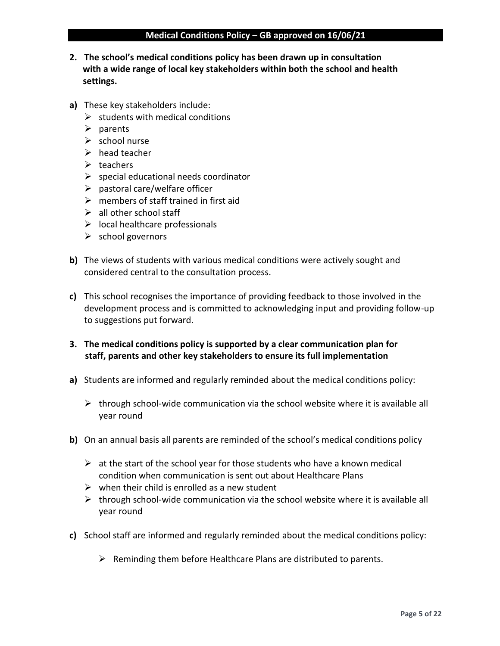- **2. The school's medical conditions policy has been drawn up in consultation with a wide range of local key stakeholders within both the school and health settings.**
- **a)** These key stakeholders include:
	- $\triangleright$  students with medical conditions
	- ➢ parents
	- ➢ school nurse
	- $\triangleright$  head teacher
	- $\triangleright$  teachers
	- $\triangleright$  special educational needs coordinator
	- $\triangleright$  pastoral care/welfare officer
	- $\triangleright$  members of staff trained in first aid
	- $\geq$  all other school staff
	- $\triangleright$  local healthcare professionals
	- $\triangleright$  school governors
- **b)** The views of students with various medical conditions were actively sought and considered central to the consultation process.
- **c)** This school recognises the importance of providing feedback to those involved in the development process and is committed to acknowledging input and providing follow-up to suggestions put forward.
- **3. The medical conditions policy is supported by a clear communication plan for staff, parents and other key stakeholders to ensure its full implementation**
- **a)** Students are informed and regularly reminded about the medical conditions policy:
	- $\triangleright$  through school-wide communication via the school website where it is available all year round
- **b)** On an annual basis all parents are reminded of the school's medical conditions policy
	- $\triangleright$  at the start of the school year for those students who have a known medical condition when communication is sent out about Healthcare Plans
	- $\triangleright$  when their child is enrolled as a new student
	- $\triangleright$  through school-wide communication via the school website where it is available all year round
- **c)** School staff are informed and regularly reminded about the medical conditions policy:
	- $\triangleright$  Reminding them before Healthcare Plans are distributed to parents.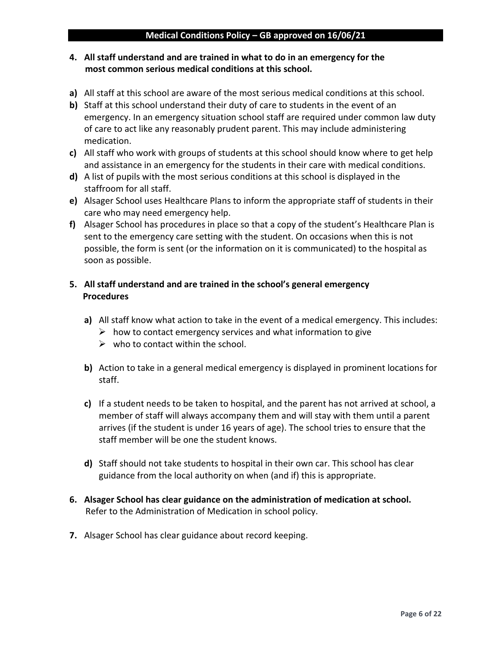### **4. All staff understand and are trained in what to do in an emergency for the most common serious medical conditions at this school.**

- **a)** All staff at this school are aware of the most serious medical conditions at this school.
- **b)** Staff at this school understand their duty of care to students in the event of an emergency. In an emergency situation school staff are required under common law duty of care to act like any reasonably prudent parent. This may include administering medication.
- **c)** All staff who work with groups of students at this school should know where to get help and assistance in an emergency for the students in their care with medical conditions.
- **d)** A list of pupils with the most serious conditions at this school is displayed in the staffroom for all staff.
- **e)** Alsager School uses Healthcare Plans to inform the appropriate staff of students in their care who may need emergency help.
- **f)** Alsager School has procedures in place so that a copy of the student's Healthcare Plan is sent to the emergency care setting with the student. On occasions when this is not possible, the form is sent (or the information on it is communicated) to the hospital as soon as possible.

## **5. All staff understand and are trained in the school's general emergency Procedures**

- **a)** All staff know what action to take in the event of a medical emergency. This includes:
	- $\triangleright$  how to contact emergency services and what information to give
	- $\triangleright$  who to contact within the school.
- **b)** Action to take in a general medical emergency is displayed in prominent locations for staff.
- **c)** If a student needs to be taken to hospital, and the parent has not arrived at school, a member of staff will always accompany them and will stay with them until a parent arrives (if the student is under 16 years of age). The school tries to ensure that the staff member will be one the student knows.
- **d)** Staff should not take students to hospital in their own car. This school has clear guidance from the local authority on when (and if) this is appropriate.
- **6. Alsager School has clear guidance on the administration of medication at school.** Refer to the Administration of Medication in school policy.
- **7.** Alsager School has clear guidance about record keeping.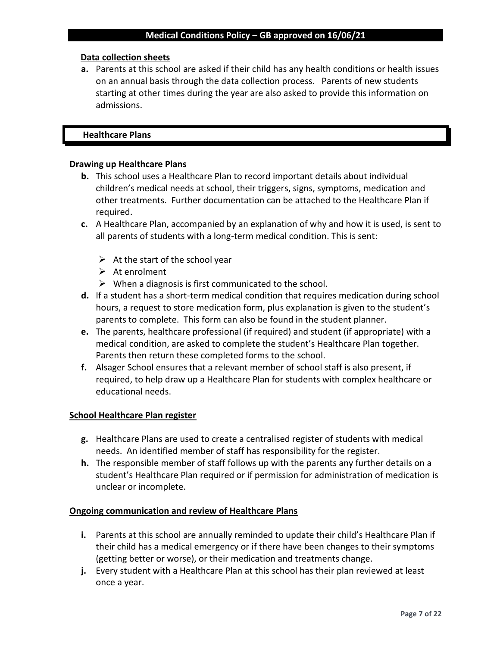#### **Data collection sheets**

**a.** Parents at this school are asked if their child has any health conditions or health issues on an annual basis through the data collection process. Parents of new students starting at other times during the year are also asked to provide this information on admissions.

#### **Healthcare Plans**

#### **Drawing up Healthcare Plans**

- **b.** This school uses a Healthcare Plan to record important details about individual children's medical needs at school, their triggers, signs, symptoms, medication and other treatments. Further documentation can be attached to the Healthcare Plan if required.
- **c.** A Healthcare Plan, accompanied by an explanation of why and how it is used, is sent to all parents of students with a long-term medical condition. This is sent:
	- $\triangleright$  At the start of the school year
	- $\triangleright$  At enrolment
	- $\triangleright$  When a diagnosis is first communicated to the school.
- **d.** If a student has a short-term medical condition that requires medication during school hours, a request to store medication form, plus explanation is given to the student's parents to complete. This form can also be found in the student planner.
- **e.** The parents, healthcare professional (if required) and student (if appropriate) with a medical condition, are asked to complete the student's Healthcare Plan together. Parents then return these completed forms to the school.
- **f.** Alsager School ensures that a relevant member of school staff is also present, if required, to help draw up a Healthcare Plan for students with complex healthcare or educational needs.

#### **School Healthcare Plan register**

- **g.** Healthcare Plans are used to create a centralised register of students with medical needs. An identified member of staff has responsibility for the register.
- **h.** The responsible member of staff follows up with the parents any further details on a student's Healthcare Plan required or if permission for administration of medication is unclear or incomplete.

#### **Ongoing communication and review of Healthcare Plans**

- **i.** Parents at this school are annually reminded to update their child's Healthcare Plan if their child has a medical emergency or if there have been changes to their symptoms (getting better or worse), or their medication and treatments change.
- **j.** Every student with a Healthcare Plan at this school has their plan reviewed at least once a year.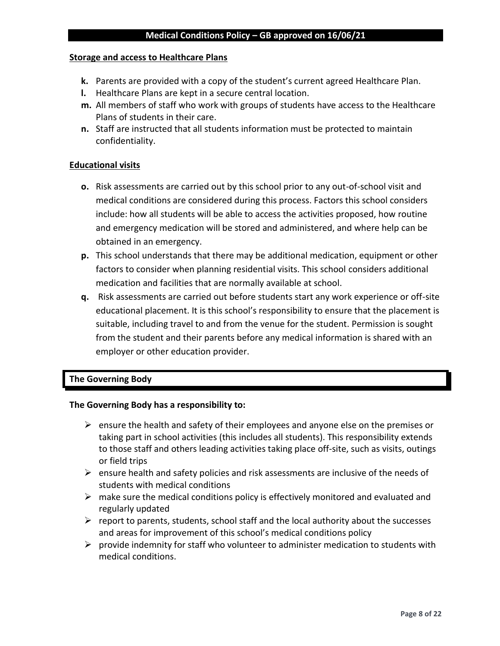#### **Storage and access to Healthcare Plans**

- **k.** Parents are provided with a copy of the student's current agreed Healthcare Plan.
- **l.** Healthcare Plans are kept in a secure central location.
- **m.** All members of staff who work with groups of students have access to the Healthcare Plans of students in their care.
- **n.** Staff are instructed that all students information must be protected to maintain confidentiality.

#### **Educational visits**

- **o.** Risk assessments are carried out by this school prior to any out-of-school visit and medical conditions are considered during this process. Factors this school considers include: how all students will be able to access the activities proposed, how routine and emergency medication will be stored and administered, and where help can be obtained in an emergency.
- **p.** This school understands that there may be additional medication, equipment or other factors to consider when planning residential visits. This school considers additional medication and facilities that are normally available at school.
- **q.** Risk assessments are carried out before students start any work experience or off-site educational placement. It is this school's responsibility to ensure that the placement is suitable, including travel to and from the venue for the student. Permission is sought from the student and their parents before any medical information is shared with an employer or other education provider.

#### **The Governing Body**

#### **The Governing Body has a responsibility to:**

- $\triangleright$  ensure the health and safety of their employees and anyone else on the premises or taking part in school activities (this includes all students). This responsibility extends to those staff and others leading activities taking place off-site, such as visits, outings or field trips
- $\triangleright$  ensure health and safety policies and risk assessments are inclusive of the needs of students with medical conditions
- $\triangleright$  make sure the medical conditions policy is effectively monitored and evaluated and regularly updated
- $\triangleright$  report to parents, students, school staff and the local authority about the successes and areas for improvement of this school's medical conditions policy
- $\triangleright$  provide indemnity for staff who volunteer to administer medication to students with medical conditions.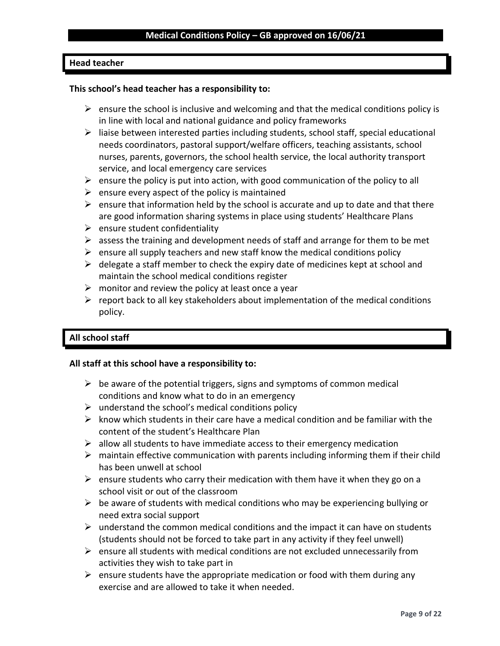#### **Head teacher**

#### **This school's head teacher has a responsibility to:**

- $\triangleright$  ensure the school is inclusive and welcoming and that the medical conditions policy is in line with local and national guidance and policy frameworks
- $\triangleright$  liaise between interested parties including students, school staff, special educational needs coordinators, pastoral support/welfare officers, teaching assistants, school nurses, parents, governors, the school health service, the local authority transport service, and local emergency care services
- $\triangleright$  ensure the policy is put into action, with good communication of the policy to all
- $\triangleright$  ensure every aspect of the policy is maintained
- $\triangleright$  ensure that information held by the school is accurate and up to date and that there are good information sharing systems in place using students' Healthcare Plans
- $\triangleright$  ensure student confidentiality
- $\triangleright$  assess the training and development needs of staff and arrange for them to be met
- $\triangleright$  ensure all supply teachers and new staff know the medical conditions policy
- $\triangleright$  delegate a staff member to check the expiry date of medicines kept at school and maintain the school medical conditions register
- $\triangleright$  monitor and review the policy at least once a year
- $\triangleright$  report back to all key stakeholders about implementation of the medical conditions policy.

#### **All school staff**

#### **All staff at this school have a responsibility to:**

- $\triangleright$  be aware of the potential triggers, signs and symptoms of common medical conditions and know what to do in an emergency
- $\triangleright$  understand the school's medical conditions policy
- $\triangleright$  know which students in their care have a medical condition and be familiar with the content of the student's Healthcare Plan
- $\triangleright$  allow all students to have immediate access to their emergency medication
- $\triangleright$  maintain effective communication with parents including informing them if their child has been unwell at school
- $\triangleright$  ensure students who carry their medication with them have it when they go on a school visit or out of the classroom
- $\triangleright$  be aware of students with medical conditions who may be experiencing bullying or need extra social support
- $\triangleright$  understand the common medical conditions and the impact it can have on students (students should not be forced to take part in any activity if they feel unwell)
- $\triangleright$  ensure all students with medical conditions are not excluded unnecessarily from activities they wish to take part in
- $\triangleright$  ensure students have the appropriate medication or food with them during any exercise and are allowed to take it when needed.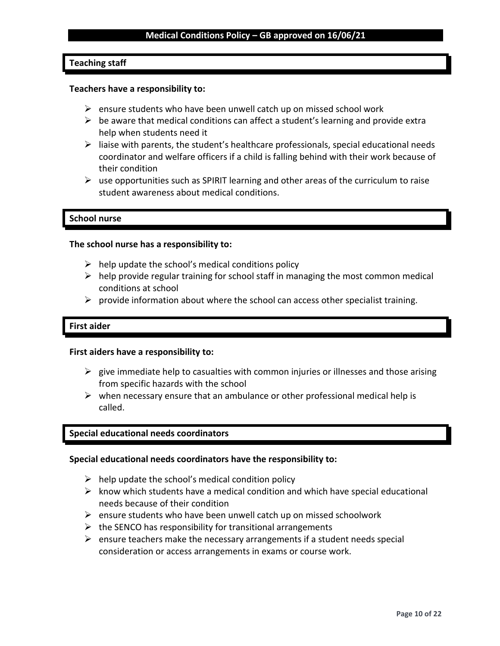#### **Teaching staff**

#### **Teachers have a responsibility to:**

- $\triangleright$  ensure students who have been unwell catch up on missed school work
- $\triangleright$  be aware that medical conditions can affect a student's learning and provide extra help when students need it
- $\triangleright$  liaise with parents, the student's healthcare professionals, special educational needs coordinator and welfare officers if a child is falling behind with their work because of their condition
- $\triangleright$  use opportunities such as SPIRIT learning and other areas of the curriculum to raise student awareness about medical conditions.

#### **School nurse**

#### **The school nurse has a responsibility to:**

- $\triangleright$  help update the school's medical conditions policy
- $\triangleright$  help provide regular training for school staff in managing the most common medical conditions at school
- $\triangleright$  provide information about where the school can access other specialist training.

#### **First aider**

#### **First aiders have a responsibility to:**

- $\triangleright$  give immediate help to casualties with common injuries or illnesses and those arising from specific hazards with the school
- $\triangleright$  when necessary ensure that an ambulance or other professional medical help is called.

#### **Special educational needs coordinators**

#### **Special educational needs coordinators have the responsibility to:**

- $\triangleright$  help update the school's medical condition policy
- $\triangleright$  know which students have a medical condition and which have special educational needs because of their condition
- $\triangleright$  ensure students who have been unwell catch up on missed schoolwork
- $\triangleright$  the SENCO has responsibility for transitional arrangements
- $\triangleright$  ensure teachers make the necessary arrangements if a student needs special consideration or access arrangements in exams or course work.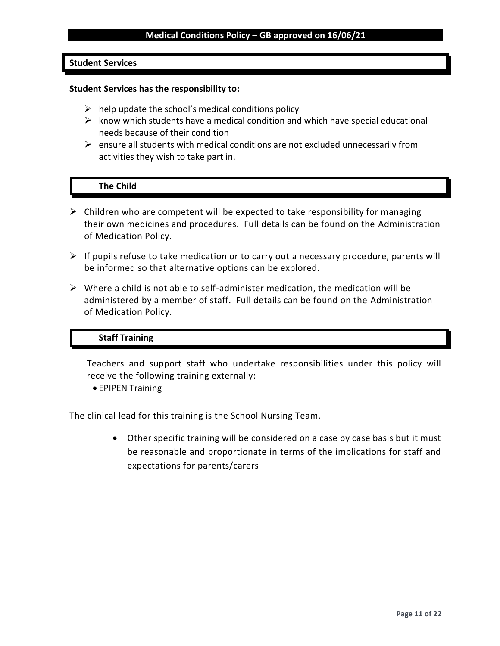#### **Student Services**

#### **Student Services has the responsibility to:**

- $\triangleright$  help update the school's medical conditions policy
- $\triangleright$  know which students have a medical condition and which have special educational needs because of their condition
- $\triangleright$  ensure all students with medical conditions are not excluded unnecessarily from activities they wish to take part in.

#### **The Child**

- $\triangleright$  Children who are competent will be expected to take responsibility for managing their own medicines and procedures. Full details can be found on the Administration of Medication Policy.
- $\triangleright$  If pupils refuse to take medication or to carry out a necessary procedure, parents will be informed so that alternative options can be explored.
- $\triangleright$  Where a child is not able to self-administer medication, the medication will be administered by a member of staff. Full details can be found on the Administration of Medication Policy.

#### **Staff Training**

Teachers and support staff who undertake responsibilities under this policy will receive the following training externally:

• EPIPEN Training

The clinical lead for this training is the School Nursing Team.

• Other specific training will be considered on a case by case basis but it must be reasonable and proportionate in terms of the implications for staff and expectations for parents/carers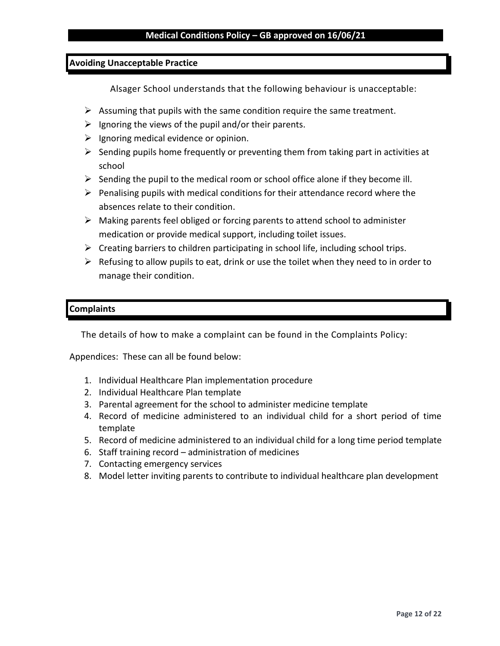#### **Avoiding Unacceptable Practice**

Alsager School understands that the following behaviour is unacceptable:

- $\triangleright$  Assuming that pupils with the same condition require the same treatment.
- $\triangleright$  Ignoring the views of the pupil and/or their parents.
- $\triangleright$  Ignoring medical evidence or opinion.
- $\triangleright$  Sending pupils home frequently or preventing them from taking part in activities at school
- $\triangleright$  Sending the pupil to the medical room or school office alone if they become ill.
- $\triangleright$  Penalising pupils with medical conditions for their attendance record where the absences relate to their condition.
- $\triangleright$  Making parents feel obliged or forcing parents to attend school to administer medication or provide medical support, including toilet issues.
- $\triangleright$  Creating barriers to children participating in school life, including school trips.
- $\triangleright$  Refusing to allow pupils to eat, drink or use the toilet when they need to in order to manage their condition.

#### **Complaints**

The details of how to make a complaint can be found in the Complaints Policy:

Appendices: These can all be found below:

- 1. Individual Healthcare Plan implementation procedure
- 2. Individual Healthcare Plan template
- 3. Parental agreement for the school to administer medicine template
- 4. Record of medicine administered to an individual child for a short period of time template
- 5. Record of medicine administered to an individual child for a long time period template
- 6. Staff training record administration of medicines
- 7. Contacting emergency services
- 8. Model letter inviting parents to contribute to individual healthcare plan development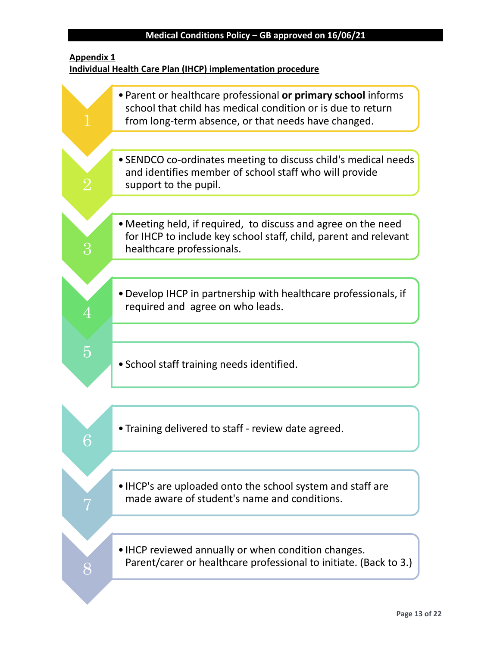## **Appendix 1 Individual Health Care Plan (IHCP) implementation procedure**

|           | • Parent or healthcare professional or primary school informs<br>school that child has medical condition or is due to return<br>from long-term absence, or that needs have changed. |
|-----------|-------------------------------------------------------------------------------------------------------------------------------------------------------------------------------------|
|           | • SENDCO co-ordinates meeting to discuss child's medical needs<br>and identifies member of school staff who will provide<br>support to the pupil.                                   |
|           | • Meeting held, if required, to discuss and agree on the need<br>for IHCP to include key school staff, child, parent and relevant<br>healthcare professionals.                      |
|           | • Develop IHCP in partnership with healthcare professionals, if<br>required and agree on who leads.                                                                                 |
| $\bar{5}$ | • School staff training needs identified.                                                                                                                                           |
|           | • Training delivered to staff - review date agreed.                                                                                                                                 |
|           | • IHCP's are uploaded onto the school system and staff are<br>made aware of student's name and conditions.                                                                          |
| 8         | • IHCP reviewed annually or when condition changes.<br>Parent/carer or healthcare professional to initiate. (Back to 3.)                                                            |
|           |                                                                                                                                                                                     |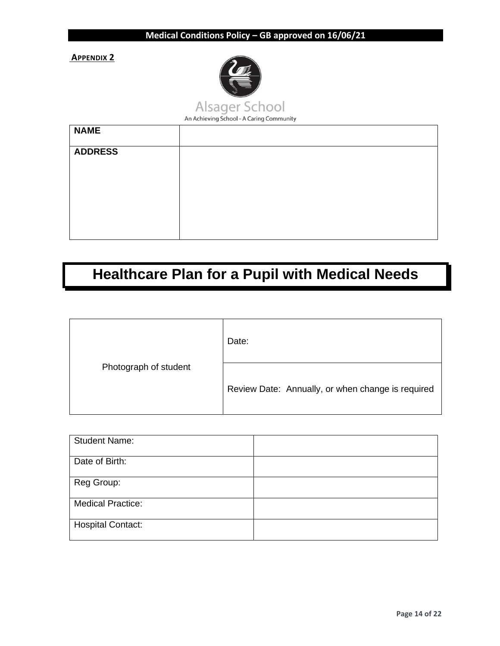**APPENDIX 2**



An Achieving School - A Caring Community

| <b>NAME</b>    |  |
|----------------|--|
| <b>ADDRESS</b> |  |
|                |  |
|                |  |
|                |  |
|                |  |

## **Healthcare Plan for a Pupil with Medical Needs**

|                       | Date:                                             |
|-----------------------|---------------------------------------------------|
| Photograph of student | Review Date: Annually, or when change is required |

| <b>Student Name:</b>     |  |
|--------------------------|--|
| Date of Birth:           |  |
| Reg Group:               |  |
| <b>Medical Practice:</b> |  |
| <b>Hospital Contact:</b> |  |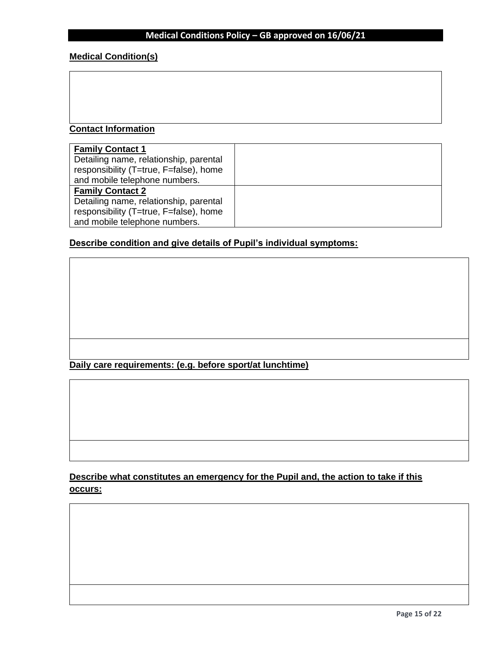## **Medical Condition(s)**

## **Contact Information**

| <b>Family Contact 1</b>                |  |
|----------------------------------------|--|
| Detailing name, relationship, parental |  |
| responsibility (T=true, F=false), home |  |
| and mobile telephone numbers.          |  |
| <b>Family Contact 2</b>                |  |
| Detailing name, relationship, parental |  |
| responsibility (T=true, F=false), home |  |
| and mobile telephone numbers.          |  |

## **Describe condition and give details of Pupil's individual symptoms:**

**Daily care requirements: (e.g. before sport/at lunchtime)**

**Describe what constitutes an emergency for the Pupil and, the action to take if this occurs:**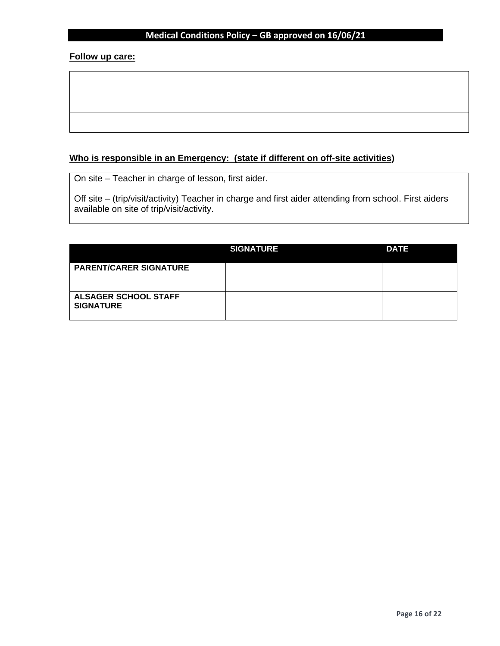#### **Follow up care:**

## **Who is responsible in an Emergency: (state if different on off-site activities)**

On site – Teacher in charge of lesson, first aider.

Off site – (trip/visit/activity) Teacher in charge and first aider attending from school. First aiders available on site of trip/visit/activity.

|                                                 | <b>SIGNATURE</b> | <b>DATE</b> |
|-------------------------------------------------|------------------|-------------|
| <b>PARENT/CARER SIGNATURE</b>                   |                  |             |
| <b>ALSAGER SCHOOL STAFF</b><br><b>SIGNATURE</b> |                  |             |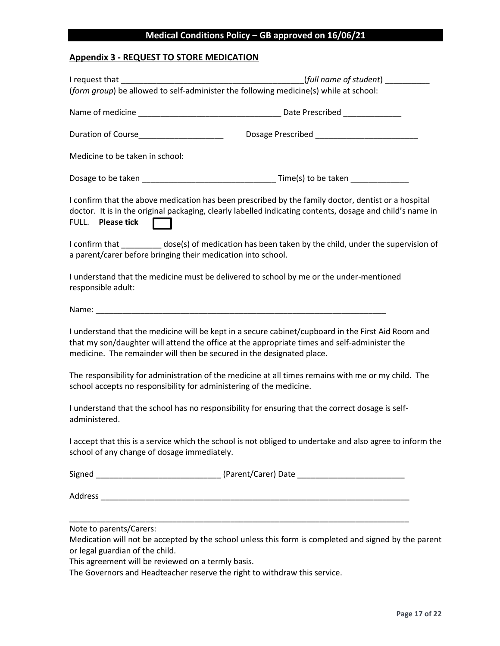## **Appendix 3 - REQUEST TO STORE MEDICATION**

|                                                              | (form group) be allowed to self-administer the following medicine(s) while at school:                                                                                                                                                                                       |
|--------------------------------------------------------------|-----------------------------------------------------------------------------------------------------------------------------------------------------------------------------------------------------------------------------------------------------------------------------|
|                                                              |                                                                                                                                                                                                                                                                             |
|                                                              |                                                                                                                                                                                                                                                                             |
| Medicine to be taken in school:                              |                                                                                                                                                                                                                                                                             |
|                                                              |                                                                                                                                                                                                                                                                             |
| FULL. Please tick <b>[</b>                                   | I confirm that the above medication has been prescribed by the family doctor, dentist or a hospital<br>doctor. It is in the original packaging, clearly labelled indicating contents, dosage and child's name in                                                            |
| a parent/carer before bringing their medication into school. | I confirm that ____________ dose(s) of medication has been taken by the child, under the supervision of                                                                                                                                                                     |
| responsible adult:                                           | I understand that the medicine must be delivered to school by me or the under-mentioned                                                                                                                                                                                     |
|                                                              |                                                                                                                                                                                                                                                                             |
|                                                              | I understand that the medicine will be kept in a secure cabinet/cupboard in the First Aid Room and<br>that my son/daughter will attend the office at the appropriate times and self-administer the<br>medicine. The remainder will then be secured in the designated place. |
|                                                              | The responsibility for administration of the medicine at all times remains with me or my child. The<br>school accepts no responsibility for administering of the medicine.                                                                                                  |
| administered.                                                | I understand that the school has no responsibility for ensuring that the correct dosage is self-                                                                                                                                                                            |
| school of any change of dosage immediately.                  | I accept that this is a service which the school is not obliged to undertake and also agree to inform the                                                                                                                                                                   |
|                                                              |                                                                                                                                                                                                                                                                             |
|                                                              |                                                                                                                                                                                                                                                                             |
| Note to parents/Carers:<br>or legal guardian of the child.   | Medication will not be accepted by the school unless this form is completed and signed by the parent                                                                                                                                                                        |

This agreement will be reviewed on a termly basis.

The Governors and Headteacher reserve the right to withdraw this service.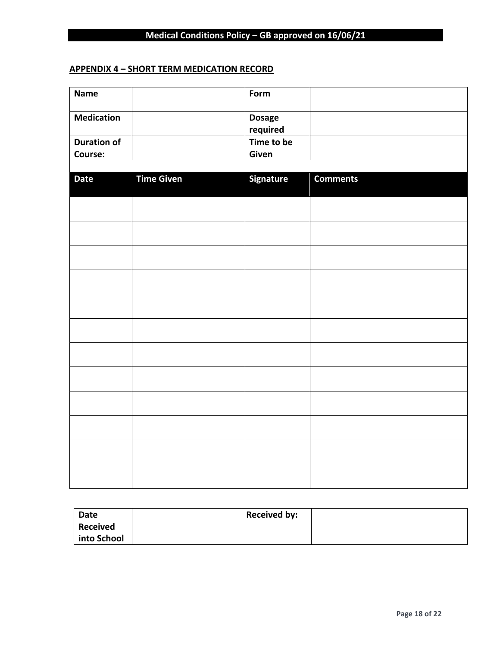## **APPENDIX 4 – SHORT TERM MEDICATION RECORD**

| <b>Name</b>        |                   | Form                      |                 |
|--------------------|-------------------|---------------------------|-----------------|
| <b>Medication</b>  |                   | <b>Dosage</b><br>required |                 |
| <b>Duration of</b> |                   | Time to be                |                 |
| Course:            |                   | Given                     |                 |
|                    |                   |                           |                 |
| <b>Date</b>        | <b>Time Given</b> | <b>Signature</b>          | <b>Comments</b> |
|                    |                   |                           |                 |
|                    |                   |                           |                 |
|                    |                   |                           |                 |
|                    |                   |                           |                 |
|                    |                   |                           |                 |
|                    |                   |                           |                 |
|                    |                   |                           |                 |
|                    |                   |                           |                 |
|                    |                   |                           |                 |
|                    |                   |                           |                 |
|                    |                   |                           |                 |
|                    |                   |                           |                 |

| Date        | <b>Received by:</b> |
|-------------|---------------------|
| Received    |                     |
| into School |                     |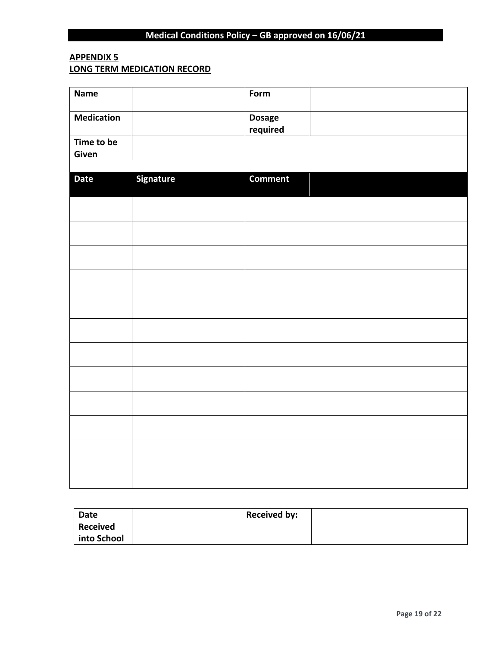## **APPENDIX 5 LONG TERM MEDICATION RECORD**

| <b>Name</b>         |           | Form                      |  |
|---------------------|-----------|---------------------------|--|
| <b>Medication</b>   |           | <b>Dosage</b><br>required |  |
| Time to be<br>Given |           |                           |  |
|                     |           |                           |  |
| <b>Date</b>         | Signature | <b>Comment</b>            |  |
|                     |           |                           |  |
|                     |           |                           |  |
|                     |           |                           |  |
|                     |           |                           |  |
|                     |           |                           |  |
|                     |           |                           |  |
|                     |           |                           |  |
|                     |           |                           |  |
|                     |           |                           |  |
|                     |           |                           |  |
|                     |           |                           |  |
|                     |           |                           |  |

| Date        | <b>Received by:</b> |
|-------------|---------------------|
| Received    |                     |
| into School |                     |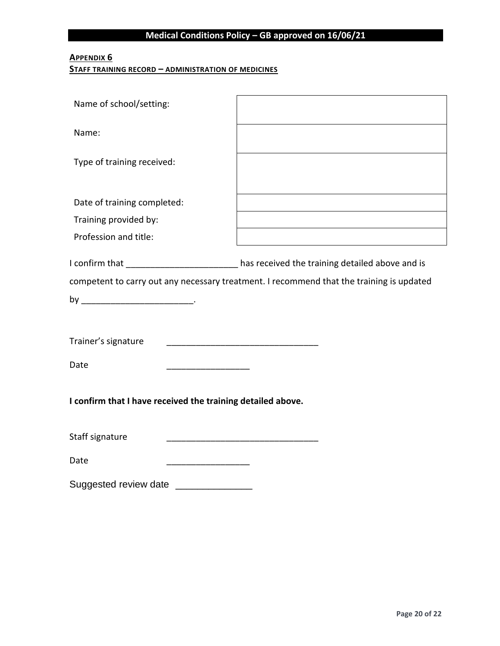## **APPENDIX 6**

#### **STAFF TRAINING RECORD – ADMINISTRATION OF MEDICINES**

| Name of school/setting:                                     |                                                                                          |
|-------------------------------------------------------------|------------------------------------------------------------------------------------------|
| Name:                                                       |                                                                                          |
| Type of training received:                                  |                                                                                          |
|                                                             |                                                                                          |
| Date of training completed:                                 |                                                                                          |
| Training provided by:                                       |                                                                                          |
| Profession and title:                                       |                                                                                          |
|                                                             | I confirm that __________________________has received the training detailed above and is |
|                                                             | competent to carry out any necessary treatment. I recommend that the training is updated |
|                                                             |                                                                                          |
|                                                             |                                                                                          |
| Trainer's signature                                         |                                                                                          |
| Date                                                        |                                                                                          |
| I confirm that I have received the training detailed above. |                                                                                          |
| Staff signature                                             |                                                                                          |
| Date                                                        |                                                                                          |
| Suggested review date                                       |                                                                                          |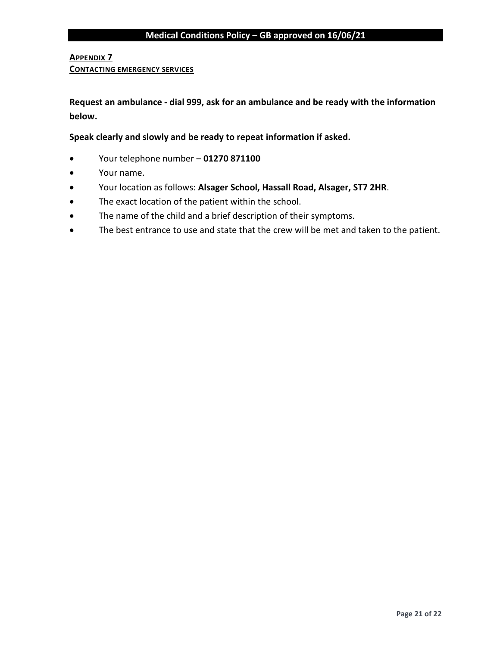#### **APPENDIX 7**

#### **CONTACTING EMERGENCY SERVICES**

**Request an ambulance - dial 999, ask for an ambulance and be ready with the information below.**

**Speak clearly and slowly and be ready to repeat information if asked.**

- Your telephone number **01270 871100**
- Your name.
- Your location as follows: **Alsager School, Hassall Road, Alsager, ST7 2HR**.
- The exact location of the patient within the school.
- The name of the child and a brief description of their symptoms.
- The best entrance to use and state that the crew will be met and taken to the patient.